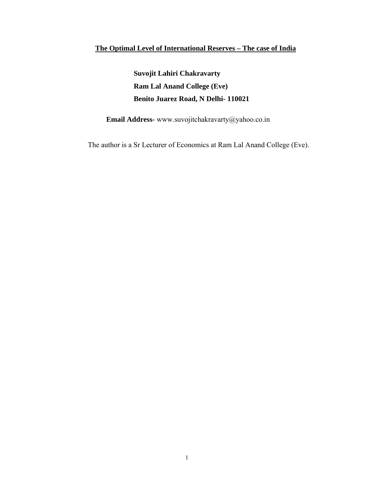### **The Optimal Level of International Reserves – The case of India**

 **Suvojit Lahiri Chakravarty Ram Lal Anand College (Eve) Benito Juarez Road, N Delhi- 110021**

 **Email Address-** www.suvojitchakravarty@yahoo.co.in

The author is a Sr Lecturer of Economics at Ram Lal Anand College (Eve).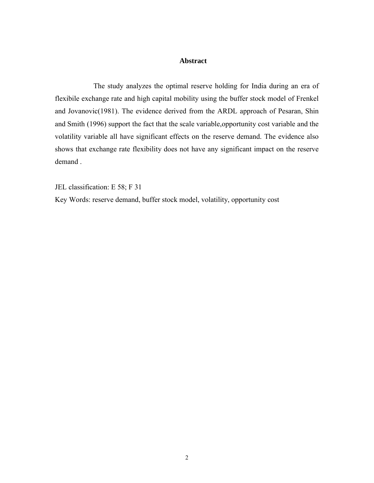#### **Abstract**

 The study analyzes the optimal reserve holding for India during an era of flexibile exchange rate and high capital mobility using the buffer stock model of Frenkel and Jovanovic(1981). The evidence derived from the ARDL approach of Pesaran, Shin and Smith (1996) support the fact that the scale variable,opportunity cost variable and the volatility variable all have significant effects on the reserve demand. The evidence also shows that exchange rate flexibility does not have any significant impact on the reserve demand .

JEL classification: E 58; F 31

Key Words: reserve demand, buffer stock model, volatility, opportunity cost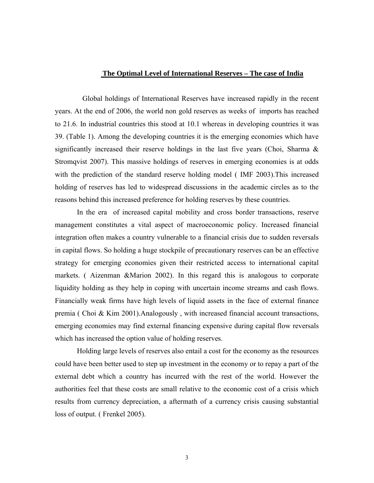#### **The Optimal Level of International Reserves – The case of India**

 Global holdings of International Reserves have increased rapidly in the recent years. At the end of 2006, the world non gold reserves as weeks of imports has reached to 21.6. In industrial countries this stood at 10.1 whereas in developing countries it was 39. (Table 1). Among the developing countries it is the emerging economies which have significantly increased their reserve holdings in the last five years (Choi, Sharma & Stromqvist 2007). This massive holdings of reserves in emerging economies is at odds with the prediction of the standard reserve holding model ( IMF 2003).This increased holding of reserves has led to widespread discussions in the academic circles as to the reasons behind this increased preference for holding reserves by these countries.

In the era of increased capital mobility and cross border transactions, reserve management constitutes a vital aspect of macroeconomic policy. Increased financial integration often makes a country vulnerable to a financial crisis due to sudden reversals in capital flows. So holding a huge stockpile of precautionary reserves can be an effective strategy for emerging economies given their restricted access to international capital markets. ( Aizenman &Marion 2002). In this regard this is analogous to corporate liquidity holding as they help in coping with uncertain income streams and cash flows. Financially weak firms have high levels of liquid assets in the face of external finance premia ( Choi & Kim 2001).Analogously , with increased financial account transactions, emerging economies may find external financing expensive during capital flow reversals which has increased the option value of holding reserves.

Holding large levels of reserves also entail a cost for the economy as the resources could have been better used to step up investment in the economy or to repay a part of the external debt which a country has incurred with the rest of the world. However the authorities feel that these costs are small relative to the economic cost of a crisis which results from currency depreciation, a aftermath of a currency crisis causing substantial loss of output. ( Frenkel 2005).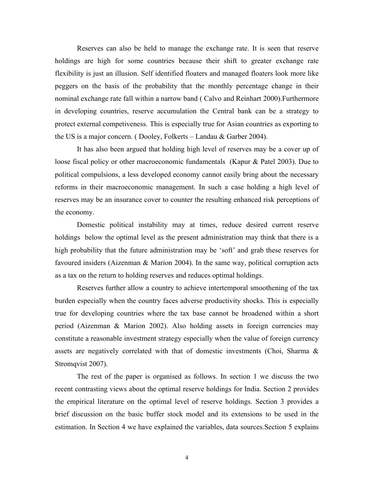Reserves can also be held to manage the exchange rate. It is seen that reserve holdings are high for some countries because their shift to greater exchange rate flexibility is just an illusion. Self identified floaters and managed floaters look more like peggers on the basis of the probability that the monthly percentage change in their nominal exchange rate fall within a narrow band ( Calvo and Reinhart 2000).Furthermore in developing countries, reserve accumulation the Central bank can be a strategy to protect external competiveness. This is especially true for Asian countries as exporting to the US is a major concern. ( Dooley, Folkerts – Landau & Garber 2004).

It has also been argued that holding high level of reserves may be a cover up of loose fiscal policy or other macroeconomic fundamentals (Kapur & Patel 2003). Due to political compulsions, a less developed economy cannot easily bring about the necessary reforms in their macroeconomic management. In such a case holding a high level of reserves may be an insurance cover to counter the resulting enhanced risk perceptions of the economy.

Domestic political instability may at times, reduce desired current reserve holdings below the optimal level as the present administration may think that there is a high probability that the future administration may be 'soft' and grab these reserves for favoured insiders (Aizenman & Marion 2004). In the same way, political corruption acts as a tax on the return to holding reserves and reduces optimal holdings.

Reserves further allow a country to achieve intertemporal smoothening of the tax burden especially when the country faces adverse productivity shocks. This is especially true for developing countries where the tax base cannot be broadened within a short period (Aizenman & Marion 2002). Also holding assets in foreign currencies may constitute a reasonable investment strategy especially when the value of foreign currency assets are negatively correlated with that of domestic investments (Choi, Sharma & Stromqvist 2007).

The rest of the paper is organised as follows. In section 1 we discuss the two recent contrasting views about the optimal reserve holdings for India. Section 2 provides the empirical literature on the optimal level of reserve holdings. Section 3 provides a brief discussion on the basic buffer stock model and its extensions to be used in the estimation. In Section 4 we have explained the variables, data sources.Section 5 explains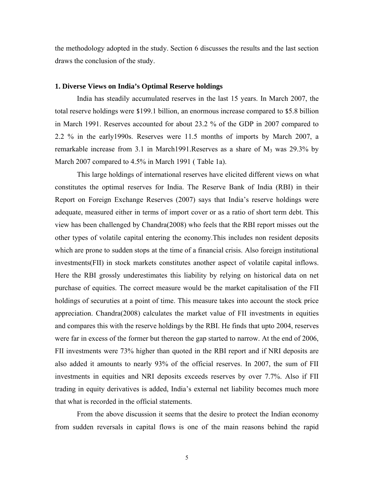the methodology adopted in the study. Section 6 discusses the results and the last section draws the conclusion of the study.

#### **1. Diverse Views on India's Optimal Reserve holdings**

India has steadily accumulated reserves in the last 15 years. In March 2007, the total reserve holdings were \$199.1 billion, an enormous increase compared to \$5.8 billion in March 1991. Reserves accounted for about 23.2 % of the GDP in 2007 compared to 2.2 % in the early1990s. Reserves were 11.5 months of imports by March 2007, a remarkable increase from 3.1 in March1991. Reserves as a share of  $M_3$  was 29.3% by March 2007 compared to 4.5% in March 1991 ( Table 1a).

This large holdings of international reserves have elicited different views on what constitutes the optimal reserves for India. The Reserve Bank of India (RBI) in their Report on Foreign Exchange Reserves (2007) says that India's reserve holdings were adequate, measured either in terms of import cover or as a ratio of short term debt. This view has been challenged by Chandra(2008) who feels that the RBI report misses out the other types of volatile capital entering the economy.This includes non resident deposits which are prone to sudden stops at the time of a financial crisis. Also foreign institutional investments(FII) in stock markets constitutes another aspect of volatile capital inflows. Here the RBI grossly underestimates this liability by relying on historical data on net purchase of equities. The correct measure would be the market capitalisation of the FII holdings of securuties at a point of time. This measure takes into account the stock price appreciation. Chandra(2008) calculates the market value of FII investments in equities and compares this with the reserve holdings by the RBI. He finds that upto 2004, reserves were far in excess of the former but thereon the gap started to narrow. At the end of 2006, FII investments were 73% higher than quoted in the RBI report and if NRI deposits are also added it amounts to nearly 93% of the official reserves. In 2007, the sum of FII investments in equities and NRI deposits exceeds reserves by over 7.7%. Also if FII trading in equity derivatives is added, India's external net liability becomes much more that what is recorded in the official statements.

From the above discussion it seems that the desire to protect the Indian economy from sudden reversals in capital flows is one of the main reasons behind the rapid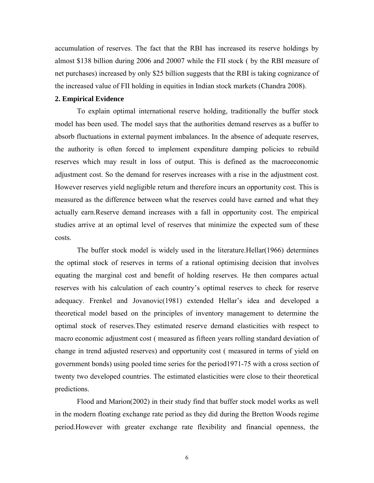accumulation of reserves. The fact that the RBI has increased its reserve holdings by almost \$138 billion during 2006 and 20007 while the FII stock ( by the RBI measure of net purchases) increased by only \$25 billion suggests that the RBI is taking cognizance of the increased value of FII holding in equities in Indian stock markets (Chandra 2008).

#### **2. Empirical Evidence**

To explain optimal international reserve holding, traditionally the buffer stock model has been used. The model says that the authorities demand reserves as a buffer to absorb fluctuations in external payment imbalances. In the absence of adequate reserves, the authority is often forced to implement expenditure damping policies to rebuild reserves which may result in loss of output. This is defined as the macroeconomic adjustment cost. So the demand for reserves increases with a rise in the adjustment cost. However reserves yield negligible return and therefore incurs an opportunity cost. This is measured as the difference between what the reserves could have earned and what they actually earn.Reserve demand increases with a fall in opportunity cost. The empirical studies arrive at an optimal level of reserves that minimize the expected sum of these costs.

The buffer stock model is widely used in the literature.Hellar(1966) determines the optimal stock of reserves in terms of a rational optimising decision that involves equating the marginal cost and benefit of holding reserves. He then compares actual reserves with his calculation of each country's optimal reserves to check for reserve adequacy. Frenkel and Jovanovic(1981) extended Hellar's idea and developed a theoretical model based on the principles of inventory management to determine the optimal stock of reserves.They estimated reserve demand elasticities with respect to macro economic adjustment cost ( measured as fifteen years rolling standard deviation of change in trend adjusted reserves) and opportunity cost ( measured in terms of yield on government bonds) using pooled time series for the period1971-75 with a cross section of twenty two developed countries. The estimated elasticities were close to their theoretical predictions.

Flood and Marion(2002) in their study find that buffer stock model works as well in the modern floating exchange rate period as they did during the Bretton Woods regime period.However with greater exchange rate flexibility and financial openness, the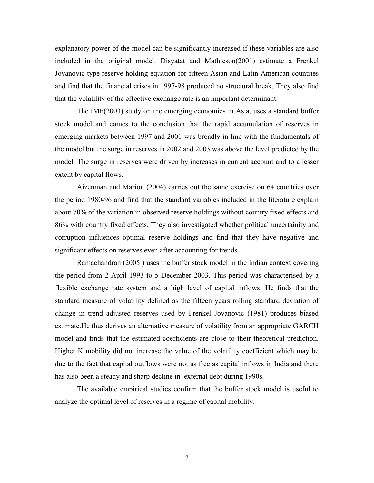explanatory power of the model can be significantly increased if these variables are also included in the original model. Disyatat and Mathieson(2001) estimate a Frenkel Jovanovic type reserve holding equation for fifteen Asian and Latin American countries and find that the financial crises in 1997-98 produced no structural break. They also find that the volatility of the effective exchange rate is an important determinant.

The IMF(2003) study on the emerging economies in Asia, uses a standard buffer stock model and comes to the conclusion that the rapid accumulation of reserves in emerging markets between 1997 and 2001 was broadly in line with the fundamentals of the model but the surge in reserves in 2002 and 2003 was above the level predicted by the model. The surge in reserves were driven by increases in current account and to a lesser extent by capital flows.

Aizenman and Marion (2004) carries out the same exercise on 64 countries over the period 1980-96 and find that the standard variables included in the literature explain about 70% of the variation in observed reserve holdings without country fixed effects and 86% with country fixed effects. They also investigated whether political uncertainity and corruption influences optimal reserve holdings and find that they have negative and significant effects on reserves even after accounting for trends.

Ramachandran (2005 ) uses the buffer stock model in the Indian context covering the period from 2 April 1993 to 5 December 2003. This period was characterised by a flexible exchange rate system and a high level of capital inflows. He finds that the standard measure of volatility defined as the fifteen years rolling standard deviation of change in trend adjusted reserves used by Frenkel Jovanovic (1981) produces biased estimate.He thus derives an alternative measure of volatility from an appropriate GARCH model and finds that the estimated coefficients are close to their theoretical prediction. Higher K mobility did not increase the value of the volatility coefficient which may be due to the fact that capital outflows were not as free as capital inflows in India and there has also been a steady and sharp decline in external debt during 1990s.

The available empirical studies confirm that the buffer stock model is useful to analyze the optimal level of reserves in a regime of capital mobility.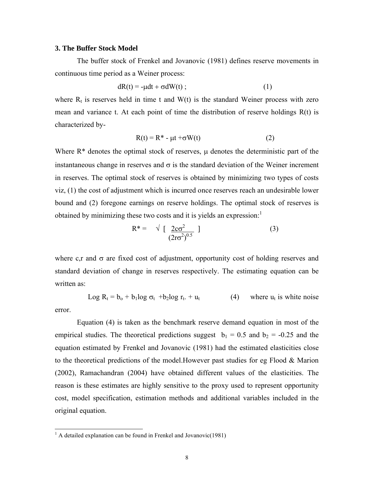#### **3. The Buffer Stock Model**

The buffer stock of Frenkel and Jovanovic (1981) defines reserve movements in continuous time period as a Weiner process:

$$
dR(t) = -\mu dt + \sigma dW(t) ; \qquad (1)
$$

where  $R_t$  is reserves held in time t and  $W(t)$  is the standard Weiner process with zero mean and variance t. At each point of time the distribution of reserve holdings R(t) is characterized by-

$$
R(t) = R^* - \mu t + \sigma W(t)
$$
 (2)

Where  $R^*$  denotes the optimal stock of reserves,  $\mu$  denotes the deterministic part of the instantaneous change in reserves and  $\sigma$  is the standard deviation of the Weiner increment in reserves. The optimal stock of reserves is obtained by minimizing two types of costs viz, (1) the cost of adjustment which is incurred once reserves reach an undesirable lower bound and (2) foregone earnings on reserve holdings. The optimal stock of reserves is obtained by minimizing these two costs and it is yields an expression: $<sup>1</sup>$ </sup>

$$
R^* = \sqrt{\left[\frac{2c\sigma^2}{(2r\sigma^2)^{0.5}}\right]}
$$
 (3)

where c,r and  $\sigma$  are fixed cost of adjustment, opportunity cost of holding reserves and standard deviation of change in reserves respectively. The estimating equation can be written as:

Log  $R_t = b_0 + b_1 \log \sigma_t + b_2 \log r_t + u_t$  (4) where  $u_t$  is white noise error.

Equation (4) is taken as the benchmark reserve demand equation in most of the empirical studies. The theoretical predictions suggest  $b_1 = 0.5$  and  $b_2 = -0.25$  and the equation estimated by Frenkel and Jovanovic (1981) had the estimated elasticities close to the theoretical predictions of the model.However past studies for eg Flood & Marion (2002), Ramachandran (2004) have obtained different values of the elasticities. The reason is these estimates are highly sensitive to the proxy used to represent opportunity cost, model specification, estimation methods and additional variables included in the original equation.

 $\overline{a}$ 

 $<sup>1</sup>$  A detailed explanation can be found in Frenkel and Jovanovic(1981)</sup>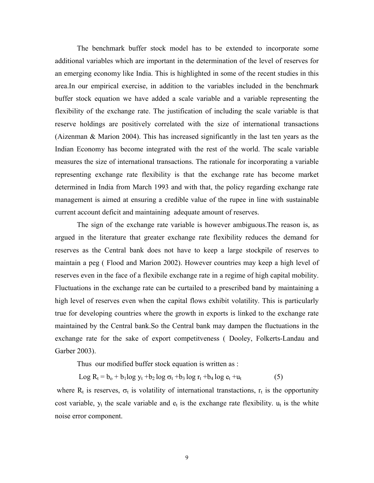The benchmark buffer stock model has to be extended to incorporate some additional variables which are important in the determination of the level of reserves for an emerging economy like India. This is highlighted in some of the recent studies in this area.In our empirical exercise, in addition to the variables included in the benchmark buffer stock equation we have added a scale variable and a variable representing the flexibility of the exchange rate. The justification of including the scale variable is that reserve holdings are positively correlated with the size of international transactions (Aizenman & Marion 2004). This has increased significantly in the last ten years as the Indian Economy has become integrated with the rest of the world. The scale variable measures the size of international transactions. The rationale for incorporating a variable representing exchange rate flexibility is that the exchange rate has become market determined in India from March 1993 and with that, the policy regarding exchange rate management is aimed at ensuring a credible value of the rupee in line with sustainable current account deficit and maintaining adequate amount of reserves.

The sign of the exchange rate variable is however ambiguous.The reason is, as argued in the literature that greater exchange rate flexibility reduces the demand for reserves as the Central bank does not have to keep a large stockpile of reserves to maintain a peg ( Flood and Marion 2002). However countries may keep a high level of reserves even in the face of a flexibile exchange rate in a regime of high capital mobility. Fluctuations in the exchange rate can be curtailed to a prescribed band by maintaining a high level of reserves even when the capital flows exhibit volatility. This is particularly true for developing countries where the growth in exports is linked to the exchange rate maintained by the Central bank.So the Central bank may dampen the fluctuations in the exchange rate for the sake of export competitveness ( Dooley, Folkerts-Landau and Garber 2003).

Thus our modified buffer stock equation is written as :

Log  $R_t = b_0 + b_1 \log y_t + b_2 \log \sigma_t + b_3 \log r_t + b_4 \log e_t + u_t$  (5)

where  $R_t$  is reserves,  $\sigma_t$  is volatility of international transtactions,  $r_t$  is the opportunity cost variable,  $y_t$  the scale variable and  $e_t$  is the exchange rate flexibility.  $u_t$  is the white noise error component.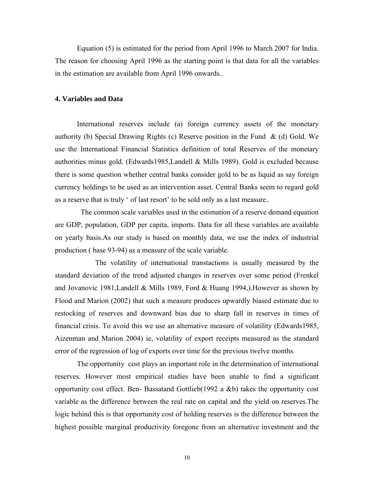Equation (5) is estimated for the period from April 1996 to March 2007 for India. The reason for choosing April 1996 as the starting point is that data for all the variables in the estimation are available from April 1996 onwards..

#### **4. Variables and Data**

International reserves include (a) foreign currency assets of the monetary authority (b) Special Drawing Rights (c) Reserve position in the Fund  $\&$  (d) Gold. We use the International Financial Statistics definition of total Reserves of the monetary authorities minus gold. (Edwards1985,Landell & Mills 1989). Gold is excluded because there is some question whether central banks consider gold to be as liquid as say foreign currency holdings to be used as an intervention asset. Central Banks seem to regard gold as a reserve that is truly ' of last resort' to be sold only as a last measure..

 The common scale variables used in the estimation of a reserve demand equation are GDP, population, GDP per capita, imports. Data for all these variables are available on yearly basis.As our study is based on monthly data, we use the index of industrial production ( base 93-94) as a measure of the scale variable.

 The volatility of international transtactions is usually measured by the standard deviation of the trend adjusted changes in reserves over some period (Frenkel and Jovanovic 1981,Landell & Mills 1989, Ford & Huang 1994,).However as shown by Flood and Marion (2002) that such a measure produces upwardly biased estimate due to restocking of reserves and downward bias due to sharp fall in reserves in times of financial crisis. To avoid this we use an alternative measure of volatility (Edwards1985, Aizenman and Marion 2004) ie, volatility of export receipts measured as the standard error of the regression of log of exports over time for the previous twelve months.

The opportunity cost plays an important role in the determination of international reserves. However most empirical studies have been unable to find a significant opportunity cost effect. Ben- Bassatand Gottlieb(1992 a &b) takes the opportunity cost variable as the difference between the real rate on capital and the yield on reserves.The logic behind this is that opportunity cost of holding reserves is the difference between the highest possible marginal productivity foregone from an alternative investment and the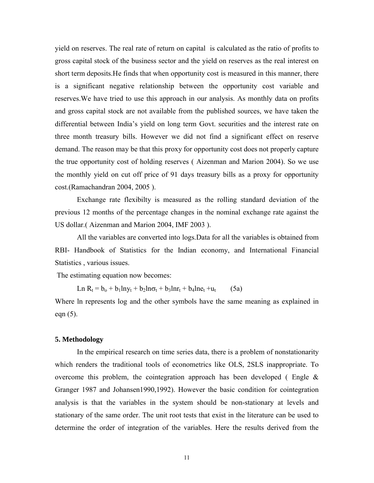yield on reserves. The real rate of return on capital is calculated as the ratio of profits to gross capital stock of the business sector and the yield on reserves as the real interest on short term deposits.He finds that when opportunity cost is measured in this manner, there is a significant negative relationship between the opportunity cost variable and reserves.We have tried to use this approach in our analysis. As monthly data on profits and gross capital stock are not available from the published sources, we have taken the differential between India's yield on long term Govt. securities and the interest rate on three month treasury bills. However we did not find a significant effect on reserve demand. The reason may be that this proxy for opportunity cost does not properly capture the true opportunity cost of holding reserves ( Aizenman and Marion 2004). So we use the monthly yield on cut off price of 91 days treasury bills as a proxy for opportunity cost.(Ramachandran 2004, 2005 ).

Exchange rate flexibilty is measured as the rolling standard deviation of the previous 12 months of the percentage changes in the nominal exchange rate against the US dollar.( Aizenman and Marion 2004, IMF 2003 ).

All the variables are converted into logs.Data for all the variables is obtained from RBI- Handbook of Statistics for the Indian economy, and International Financial Statistics , various issues.

The estimating equation now becomes:

Ln  $R_t = b_0 + b_1 \ln y_t + b_2 \ln \sigma_t + b_3 \ln r_t + b_4 \ln e_t + u_t$  (5a)

Where ln represents log and the other symbols have the same meaning as explained in eqn (5).

#### **5. Methodology**

In the empirical research on time series data, there is a problem of nonstationarity which renders the traditional tools of econometrics like OLS, 2SLS inappropriate. To overcome this problem, the cointegration approach has been developed (Engle  $\&$ Granger 1987 and Johansen1990,1992). However the basic condition for cointegration analysis is that the variables in the system should be non-stationary at levels and stationary of the same order. The unit root tests that exist in the literature can be used to determine the order of integration of the variables. Here the results derived from the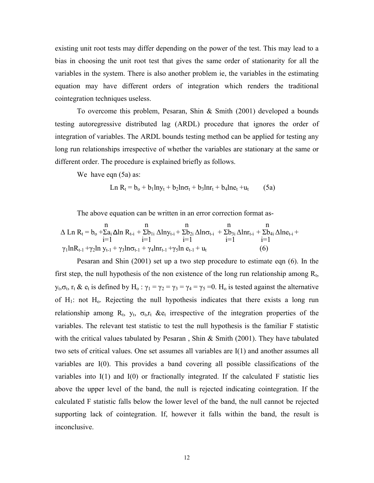existing unit root tests may differ depending on the power of the test. This may lead to a bias in choosing the unit root test that gives the same order of stationarity for all the variables in the system. There is also another problem ie, the variables in the estimating equation may have different orders of integration which renders the traditional cointegration techniques useless.

To overcome this problem, Pesaran, Shin & Smith (2001) developed a bounds testing autoregressive distributed lag (ARDL) procedure that ignores the order of integration of variables. The ARDL bounds testing method can be applied for testing any long run relationships irrespective of whether the variables are stationary at the same or different order. The procedure is explained briefly as follows.

We have eqn  $(5a)$  as:

$$
\text{Ln } R_t = b_0 + b_1 \text{ln}y_t + b_2 \text{ln} \sigma_t + b_3 \text{ln}r_t + b_4 \text{ln}e_t + u_t \tag{5a}
$$

The above equation can be written in an error correction format as-

$$
\Delta Ln R_{t} = b_{o} + \sum a_{i} \Delta ln R_{t-i} + \sum b_{1i} \Delta ln y_{t-i} + \sum b_{2i} \Delta ln \sigma_{t-i} + \sum b_{3i} \Delta ln r_{t-i} + \sum b_{4i} \Delta ln e_{t-i} + \sum b_{1} \Delta ln r_{t-1} + \sum b_{2} \Delta ln r_{t-1} + \sum b_{3i} \Delta ln r_{t-1} + \sum b_{4i} \Delta ln e_{t-1} + \sum b_{5i} \Delta ln r_{t-1} + \gamma_{2} \Delta ln r_{t-1} + \gamma_{3} \Delta ln r_{t-1} + \gamma_{4} \Delta ln r_{t-1} + \gamma_{5} \Delta ln r_{t-1} + u_{t}
$$
\n(6)

Pesaran and Shin (2001) set up a two step procedure to estimate eqn (6). In the first step, the null hypothesis of the non existence of the long run relationship among  $R_t$ , y<sub>t</sub>, σ<sub>t</sub>, r<sub>t</sub> & e<sub>t</sub> is defined by H<sub>o</sub>:  $\gamma_1 = \gamma_2 = \gamma_3 = \gamma_4 = \gamma_5 = 0$ . H<sub>o</sub> is tested against the alternative of  $H_1$ : not  $H_0$ . Rejecting the null hypothesis indicates that there exists a long run relationship among  $R_t$ ,  $y_t$ ,  $\sigma_t$ , $r_t$  &e<sub>t</sub> irrespective of the integration properties of the variables. The relevant test statistic to test the null hypothesis is the familiar F statistic with the critical values tabulated by Pesaran, Shin & Smith (2001). They have tabulated two sets of critical values. One set assumes all variables are I(1) and another assumes all variables are I(0). This provides a band covering all possible classifications of the variables into I(1) and I(0) or fractionally integrated. If the calculated F statistic lies above the upper level of the band, the null is rejected indicating cointegration. If the calculated F statistic falls below the lower level of the band, the null cannot be rejected supporting lack of cointegration. If, however it falls within the band, the result is inconclusive.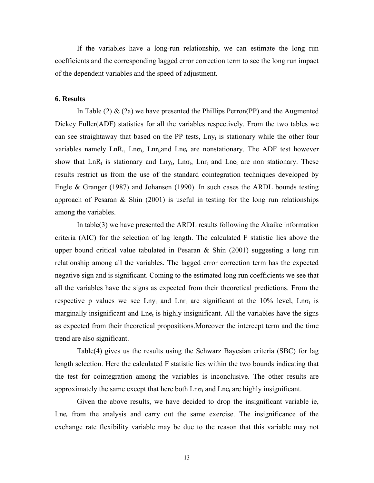If the variables have a long-run relationship, we can estimate the long run coefficients and the corresponding lagged error correction term to see the long run impact of the dependent variables and the speed of adjustment.

#### **6. Results**

In Table (2) & (2a) we have presented the Phillips Perron(PP) and the Augmented Dickey Fuller(ADF) statistics for all the variables respectively. From the two tables we can see straightaway that based on the PP tests,  $Lny_t$  is stationary while the other four variables namely  $LnR_t$ ,  $Ln\sigma_t$ ,  $Lnr_t$ , and  $Lne_t$  are nonstationary. The ADF test however show that LnR<sub>t</sub> is stationary and Lny<sub>t</sub>, Ln<sub>ot</sub>, Lnr<sub>t</sub> and Lne<sub>t</sub> are non stationary. These results restrict us from the use of the standard cointegration techniques developed by Engle & Granger (1987) and Johansen (1990). In such cases the ARDL bounds testing approach of Pesaran  $\&$  Shin (2001) is useful in testing for the long run relationships among the variables.

In table(3) we have presented the ARDL results following the Akaike information criteria (AIC) for the selection of lag length. The calculated F statistic lies above the upper bound critical value tabulated in Pesaran  $\&$  Shin (2001) suggesting a long run relationship among all the variables. The lagged error correction term has the expected negative sign and is significant. Coming to the estimated long run coefficients we see that all the variables have the signs as expected from their theoretical predictions. From the respective p values we see Lny<sub>t</sub> and Lnr<sub>t</sub> are significant at the 10% level, Ln $\sigma_t$  is marginally insignificant and  $\text{Lne}_t$  is highly insignificant. All the variables have the signs as expected from their theoretical propositions.Moreover the intercept term and the time trend are also significant.

Table(4) gives us the results using the Schwarz Bayesian criteria (SBC) for lag length selection. Here the calculated F statistic lies within the two bounds indicating that the test for cointegration among the variables is inconclusive. The other results are approximately the same except that here both  $Ln\sigma_t$  and  $Ln\epsilon_t$  are highly insignificant.

Given the above results, we have decided to drop the insignificant variable ie,  $Ln_{\text{et}}$  from the analysis and carry out the same exercise. The insignificance of the exchange rate flexibility variable may be due to the reason that this variable may not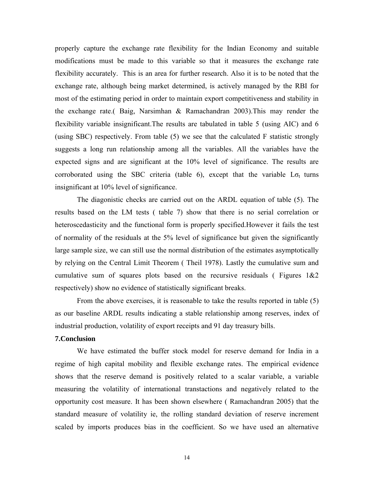properly capture the exchange rate flexibility for the Indian Economy and suitable modifications must be made to this variable so that it measures the exchange rate flexibility accurately. This is an area for further research. Also it is to be noted that the exchange rate, although being market determined, is actively managed by the RBI for most of the estimating period in order to maintain export competitiveness and stability in the exchange rate.( Baig, Narsimhan & Ramachandran 2003).This may render the flexibility variable insignificant.The results are tabulated in table 5 (using AIC) and 6 (using SBC) respectively. From table (5) we see that the calculated F statistic strongly suggests a long run relationship among all the variables. All the variables have the expected signs and are significant at the 10% level of significance. The results are corroborated using the SBC criteria (table 6), except that the variable  $L\sigma_t$  turns insignificant at 10% level of significance.

The diagonistic checks are carried out on the ARDL equation of table (5). The results based on the LM tests ( table 7) show that there is no serial correlation or heteroscedasticity and the functional form is properly specified.However it fails the test of normality of the residuals at the 5% level of significance but given the significantly large sample size, we can still use the normal distribution of the estimates asymptotically by relying on the Central Limit Theorem ( Theil 1978). Lastly the cumulative sum and cumulative sum of squares plots based on the recursive residuals (Figures  $1&&2$ respectively) show no evidence of statistically significant breaks.

From the above exercises, it is reasonable to take the results reported in table (5) as our baseline ARDL results indicating a stable relationship among reserves, index of industrial production, volatility of export receipts and 91 day treasury bills.

#### **7.Conclusion**

We have estimated the buffer stock model for reserve demand for India in a regime of high capital mobility and flexible exchange rates. The empirical evidence shows that the reserve demand is positively related to a scalar variable, a variable measuring the volatility of international transtactions and negatively related to the opportunity cost measure. It has been shown elsewhere ( Ramachandran 2005) that the standard measure of volatility ie, the rolling standard deviation of reserve increment scaled by imports produces bias in the coefficient. So we have used an alternative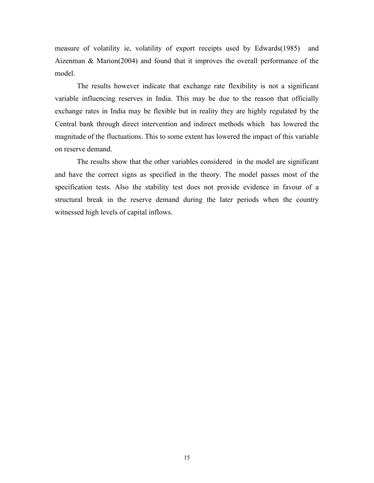measure of volatility ie, volatility of export receipts used by Edwards(1985) and Aizenman & Marion(2004) and found that it improves the overall performance of the model.

The results however indicate that exchange rate flexibility is not a significant variable influencing reserves in India. This may be due to the reason that officially exchange rates in India may be flexible but in reality they are highly regulated by the Central bank through direct intervention and indirect methods which has lowered the magnitude of the fluctuations. This to some extent has lowered the impact of this variable on reserve demand.

The results show that the other variables considered in the model are significant and have the correct signs as specified in the theory. The model passes most of the specification tests. Also the stability test does not provide evidence in favour of a structural break in the reserve demand during the later periods when the country witnessed high levels of capital inflows.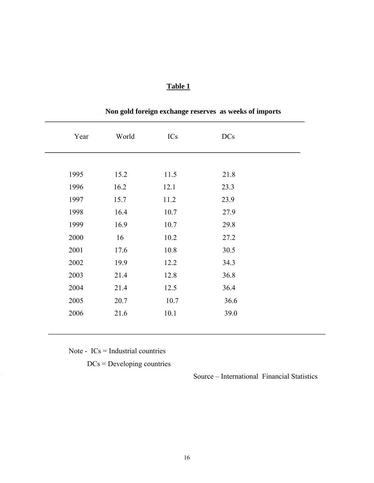| Year | World | ICs  | <b>DCs</b> |
|------|-------|------|------------|
|      |       |      |            |
| 1995 | 15.2  | 11.5 | 21.8       |
| 1996 | 16.2  | 12.1 | 23.3       |
| 1997 | 15.7  | 11.2 | 23.9       |
| 1998 | 16.4  | 10.7 | 27.9       |
| 1999 | 16.9  | 10.7 | 29.8       |
| 2000 | 16    | 10.2 | 27.2       |
| 2001 | 17.6  | 10.8 | 30.5       |
| 2002 | 19.9  | 12.2 | 34.3       |
| 2003 | 21.4  | 12.8 | 36.8       |
| 2004 | 21.4  | 12.5 | 36.4       |
| 2005 | 20.7  | 10.7 | 36.6       |
| 2006 | 21.6  | 10.1 | 39.0       |
|      |       |      |            |

# **Non gold foreign exchange reserves as weeks of imports**

Note - ICs = Industrial countries

DCs = Developing countries

Source – International Financial Statistics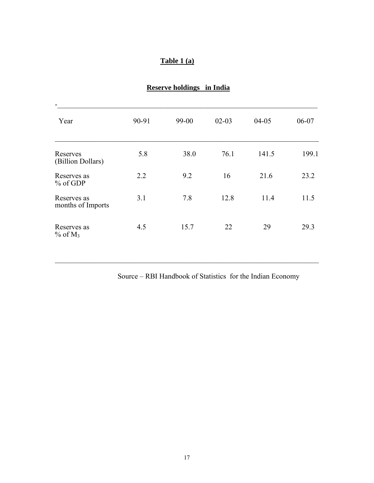### **Table 1 (a)**

| -                                     |       |       |           |           |       |
|---------------------------------------|-------|-------|-----------|-----------|-------|
| Year                                  | 90-91 | 99-00 | $02 - 03$ | $04 - 05$ | 06-07 |
| Reserves<br>(Billion Dollars)         | 5.8   | 38.0  | 76.1      | 141.5     | 199.1 |
| Reserves as<br>$%$ of GDP             | 2.2   | 9.2   | 16        | 21.6      | 23.2  |
| Reserves as<br>months of Imports      | 3.1   | 7.8   | 12.8      | 11.4      | 11.5  |
| Reserves as<br>$\%$ of M <sub>3</sub> | 4.5   | 15.7  | 22        | 29        | 29.3  |

 $\mathcal{L}_\text{max} = \mathcal{L}_\text{max} = \mathcal{L}_\text{max} = \mathcal{L}_\text{max} = \mathcal{L}_\text{max} = \mathcal{L}_\text{max} = \mathcal{L}_\text{max} = \mathcal{L}_\text{max} = \mathcal{L}_\text{max} = \mathcal{L}_\text{max} = \mathcal{L}_\text{max} = \mathcal{L}_\text{max} = \mathcal{L}_\text{max} = \mathcal{L}_\text{max} = \mathcal{L}_\text{max} = \mathcal{L}_\text{max} = \mathcal{L}_\text{max} = \mathcal{L}_\text{max} = \mathcal{$ 

# **Reserve holdings in India**

Source – RBI Handbook of Statistics for the Indian Economy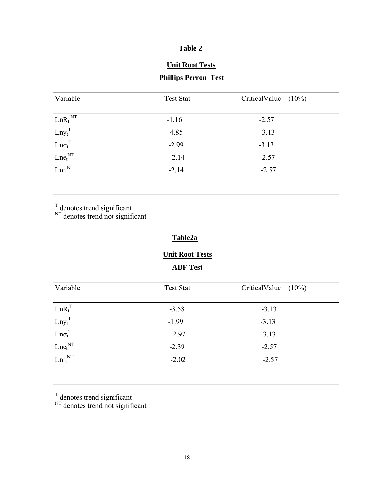# **Unit Root Tests**

# **Phillips Perron Test**

| Variable              | <b>Test Stat</b> | CriticalValue $(10\%)$ |
|-----------------------|------------------|------------------------|
| $LnR_t$ <sub>NT</sub> | $-1.16$          | $-2.57$                |
| $Lny_t^T$             | $-4.85$          | $-3.13$                |
| $Ln\sigma_t^T$        | $-2.99$          | $-3.13$                |
| $Lne_t^{\text{NT}}$   | $-2.14$          | $-2.57$                |
| $Lnr_t^{NT}$          | $-2.14$          | $-2.57$                |

 $T$  denotes trend significant

 $N<sub>T</sub>$  denotes trend not significant

### **Table2a**

#### **Unit Root Tests**

 **ADF Test** 

| Variable                                                          | <b>Test Stat</b> | CriticalValue $(10\%)$ |
|-------------------------------------------------------------------|------------------|------------------------|
|                                                                   | $-3.58$          | $-3.13$                |
| $\begin{aligned} &\text{Ln}R_t^T\\ &\text{Lny_t}^T \end{aligned}$ | $-1.99$          | $-3.13$                |
| $Ln\sigma_t^T$                                                    | $-2.97$          | $-3.13$                |
| $\mathit{Lne}_{t}^{\mathit{NT}}$                                  | $-2.39$          | $-2.57$                |
| $Lnr_t^{NT}$                                                      | $-2.02$          | $-2.57$                |

 $T$  denotes trend significant

 $N<sub>T</sub>$  denotes trend not significant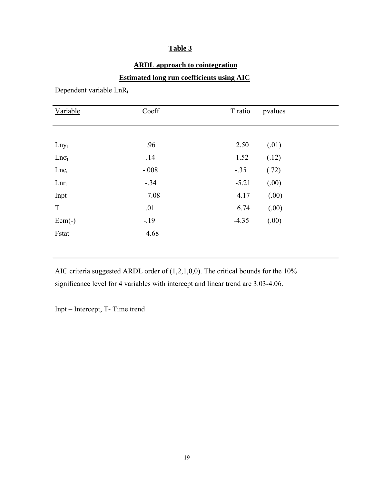# **ARDL approach to cointegration**

### **Estimated long run coefficients using AIC**

Dependent variable LnRt

| Variable     | Coeff   | T ratio | pvalues |  |
|--------------|---------|---------|---------|--|
|              |         |         |         |  |
| $Lny_t$      | .96     | 2.50    | (.01)   |  |
| $Ln\sigma_t$ | .14     | 1.52    | (.12)   |  |
| $Lne_t$      | $-.008$ | $-.35$  | (.72)   |  |
| $Lnr_t$      | $-.34$  | $-5.21$ | (.00)   |  |
| Inpt         | 7.08    | 4.17    | (.00)   |  |
| T            | .01     | 6.74    | (.00)   |  |
| $Ecm(-)$     | $-19$   | $-4.35$ | (.00)   |  |
| Fstat        | 4.68    |         |         |  |
|              |         |         |         |  |

AIC criteria suggested ARDL order of (1,2,1,0,0). The critical bounds for the 10% significance level for 4 variables with intercept and linear trend are 3.03-4.06.

Inpt – Intercept, T- Time trend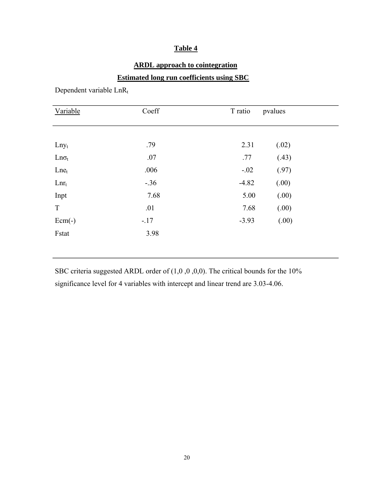# **ARDL approach to cointegration**

### **Estimated long run coefficients using SBC**

Dependent variable LnRt

| Variable     | Coeff  | T ratio | pvalues |  |
|--------------|--------|---------|---------|--|
|              |        |         |         |  |
| $Lny_t$      | .79    | 2.31    | (.02)   |  |
| $Ln\sigma_t$ | .07    | .77     | (.43)   |  |
| $Lne_t$      | .006   | $-.02$  | (.97)   |  |
| $Lnr_t$      | $-.36$ | $-4.82$ | (.00)   |  |
| Inpt         | 7.68   | 5.00    | (.00)   |  |
| T            | .01    | 7.68    | (.00)   |  |
| $Ecm(-)$     | $-.17$ | $-3.93$ | (.00)   |  |
| Fstat        | 3.98   |         |         |  |
|              |        |         |         |  |

SBC criteria suggested ARDL order of (1,0 ,0 ,0,0). The critical bounds for the 10% significance level for 4 variables with intercept and linear trend are 3.03-4.06.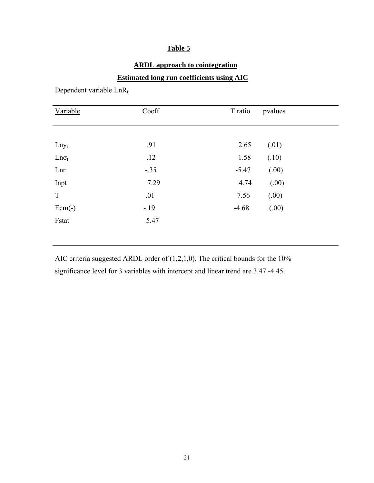# **ARDL approach to cointegration**

### **Estimated long run coefficients using AIC**

Dependent variable LnRt

| Variable     | Coeff  | T ratio | pvalues |  |
|--------------|--------|---------|---------|--|
|              |        |         |         |  |
| $Lny_t$      | .91    | 2.65    | (.01)   |  |
| $Ln\sigma_t$ | .12    | 1.58    | (.10)   |  |
| $Lnr_t$      | $-.35$ | $-5.47$ | (.00)   |  |
| Inpt         | 7.29   | 4.74    | (.00)   |  |
| T            | .01    | 7.56    | (.00)   |  |
| $Ecm(-)$     | $-.19$ | $-4.68$ | (.00)   |  |
| Fstat        | 5.47   |         |         |  |
|              |        |         |         |  |

AIC criteria suggested ARDL order of (1,2,1,0). The critical bounds for the 10% significance level for 3 variables with intercept and linear trend are 3.47 -4.45.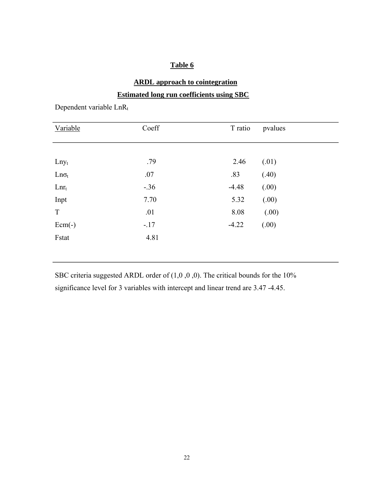# **ARDL approach to cointegration**

### **Estimated long run coefficients using SBC**

| Variable     | Coeff  | T ratio | pvalues |
|--------------|--------|---------|---------|
|              |        |         |         |
| $Lny_t$      | .79    | 2.46    | (.01)   |
| $Ln\sigma_t$ | .07    | .83     | (.40)   |
| $Lnr_t$      | $-.36$ | $-4.48$ | (.00)   |
| Inpt         | 7.70   | 5.32    | (.00)   |
| T            | .01    | 8.08    | (.00)   |
| $Ecm(-)$     | $-.17$ | $-4.22$ | (.00)   |
| Fstat        | 4.81   |         |         |
|              |        |         |         |

Dependent variable LnRt

SBC criteria suggested ARDL order of  $(1,0,0,0)$ . The critical bounds for the 10% significance level for 3 variables with intercept and linear trend are 3.47 -4.45.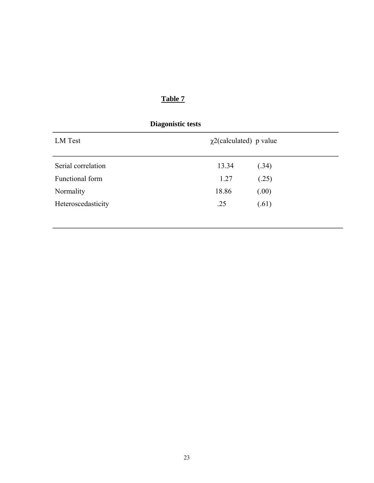| LM Test            | $\chi$ 2(calculated) p value |       |
|--------------------|------------------------------|-------|
| Serial correlation | 13.34                        | (.34) |
| Functional form    | 1.27                         | (.25) |
| Normality          | 18.86                        | (.00) |
| Heteroscedasticity | .25                          | (.61) |

23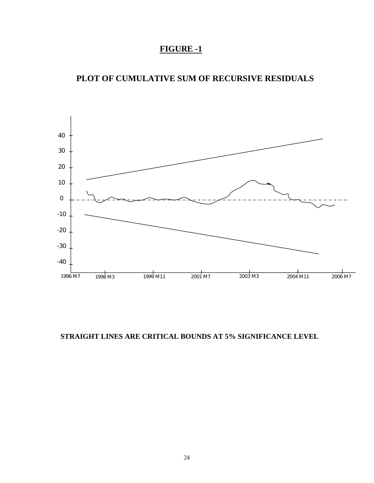# **FIGURE -1**

# **PLOT OF CUMULATIVE SUM OF RECURSIVE RESIDUALS**



### **STRAIGHT LINES ARE CRITICAL BOUNDS AT 5% SIGNIFICANCE LEVEL**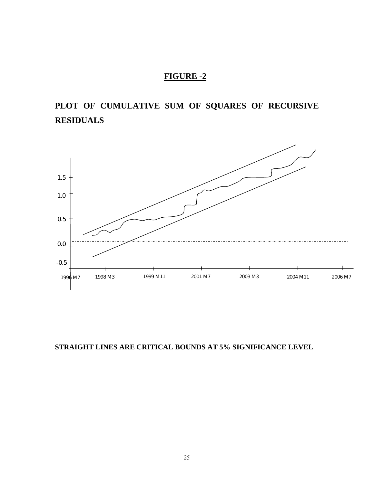# **FIGURE -2**

# **PLOT OF CUMULATIVE SUM OF SQUARES OF RECURSIVE RESIDUALS**



**STRAIGHT LINES ARE CRITICAL BOUNDS AT 5% SIGNIFICANCE LEVEL**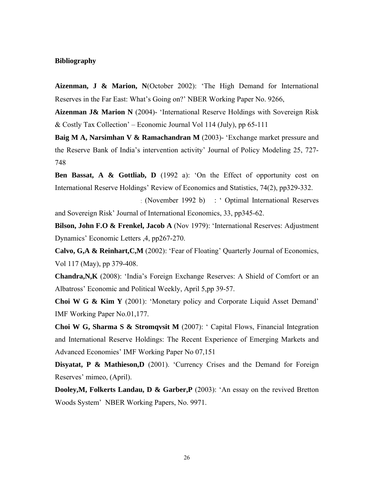#### **Bibliography**

**Aizenman, J & Marion, N**(October 2002): 'The High Demand for International Reserves in the Far East: What's Going on?' NBER Working Paper No. 9266,

**Aizenman J& Marion N** (2004)- 'International Reserve Holdings with Sovereign Risk & Costly Tax Collection' – Economic Journal Vol 114 (July), pp 65-111

**Baig M A, Narsimhan V & Ramachandran M** (2003)- 'Exchange market pressure and the Reserve Bank of India's intervention activity' Journal of Policy Modeling 25, 727- 748

**Ben Bassat, A & Gottliab, D** (1992 a): 'On the Effect of opportunity cost on International Reserve Holdings' Review of Economics and Statistics, 74(2), pp329-332.

: (November 1992 b) : ' Optimal International Reserves and Sovereign Risk' Journal of International Economics, 33, pp345-62.

**Bilson, John F.O & Frenkel, Jacob A** (Nov 1979): 'International Reserves: Adjustment Dynamics' Economic Letters ,4, pp267-270.

**Calvo, G,A & Reinhart,C,M** (2002): 'Fear of Floating' Quarterly Journal of Economics, Vol 117 (May), pp 379-408.

**Chandra,N,K** (2008): 'India's Foreign Exchange Reserves: A Shield of Comfort or an Albatross' Economic and Political Weekly, April 5,pp 39-57.

**Choi W G & Kim Y** (2001): 'Monetary policy and Corporate Liquid Asset Demand' IMF Working Paper No.01,177.

**Choi W G, Sharma S & Stromqvsit M** (2007): ' Capital Flows, Financial Integration and International Reserve Holdings: The Recent Experience of Emerging Markets and Advanced Economies' IMF Working Paper No 07,151

**Disyatat, P & Mathieson,D** (2001). 'Currency Crises and the Demand for Foreign Reserves' mimeo, (April).

**Dooley, M, Folkerts Landau, D & Garber, P** (2003): 'An essay on the revived Bretton Woods System' NBER Working Papers, No. 9971.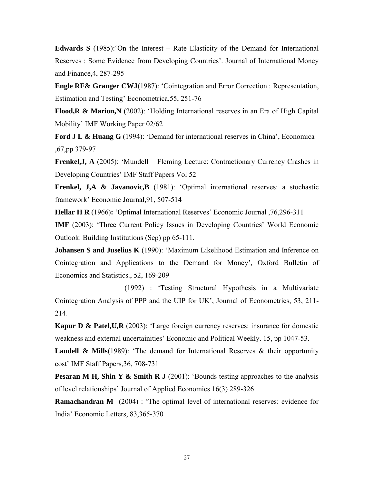**Edwards S** (1985):'On the Interest – Rate Elasticity of the Demand for International Reserves : Some Evidence from Developing Countries'. Journal of International Money and Finance,4, 287-295

**Engle RF& Granger CWJ**(1987): 'Cointegration and Error Correction : Representation, Estimation and Testing' Econometrica,55, 251-76

**Flood, R & Marion, N** (2002): 'Holding International reserves in an Era of High Capital Mobility' IMF Working Paper 02/62

**Ford J L & Huang G** (1994): 'Demand for international reserves in China', Economica ,67,pp 379-97

**Frenkel,J, A** (2005): 'Mundell – Fleming Lecture: Contractionary Currency Crashes in Developing Countries' IMF Staff Papers Vol 52

**Frenkel, J,A & Javanovic,B** (1981): 'Optimal international reserves: a stochastic framework' Economic Journal,91, 507-514

**Hellar H R** (1966)**:** 'Optimal International Reserves' Economic Journal ,76,296-311

**IMF** (2003): 'Three Current Policy Issues in Developing Countries' World Economic Outlook: Building Institutions (Sep) pp 65-111.

**Johansen S and Juselius K** (1990): 'Maximum Likelihood Estimation and Inference on Cointegration and Applications to the Demand for Money', Oxford Bulletin of Economics and Statistics., 52, 169-209

 (1992) : 'Testing Structural Hypothesis in a Multivariate Cointegration Analysis of PPP and the UIP for UK', Journal of Econometrics, 53, 211- 214

**Kapur D & Patel, U, R** (2003): 'Large foreign currency reserves: insurance for domestic weakness and external uncertainities' Economic and Political Weekly. 15, pp 1047-53.

**Landell & Mills**(1989): 'The demand for International Reserves & their opportunity cost' IMF Staff Papers,36, 708-731

**Pesaran M H, Shin Y & Smith R J** (2001): 'Bounds testing approaches to the analysis of level relationships' Journal of Applied Economics 16(3) 289-326

**Ramachandran M** (2004): 'The optimal level of international reserves: evidence for India' Economic Letters, 83,365-370